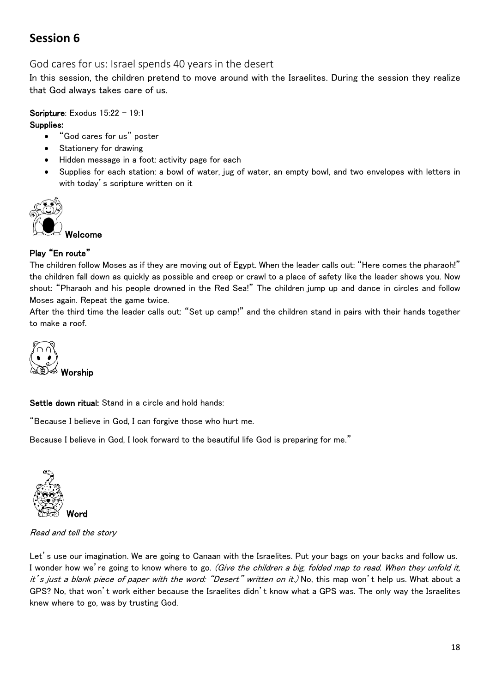# **Session 6**

## God cares for us: Israel spends 40 years in the desert

In this session, the children pretend to move around with the Israelites. During the session they realize that God always takes care of us.

## Scripture: Exodus 15:22 - 19:1

#### Supplies:

- "God cares for us" poster
- Stationery for drawing
- Hidden message in a foot: activity page for each
- Supplies for each station: a bowl of water, jug of water, an empty bowl, and two envelopes with letters in with today's scripture written on it



## Play "En route"

The children follow Moses as if they are moving out of Egypt. When the leader calls out: "Here comes the pharaoh!" the children fall down as quickly as possible and creep or crawl to a place of safety like the leader shows you. Now shout: "Pharaoh and his people drowned in the Red Sea!" The children jump up and dance in circles and follow Moses again. Repeat the game twice.

After the third time the leader calls out: "Set up camp!" and the children stand in pairs with their hands together to make a roof.



Settle down ritual: Stand in a circle and hold hands:

"Because I believe in God, I can forgive those who hurt me.

Because I believe in God, I look forward to the beautiful life God is preparing for me."



Read and tell the story

Let's use our imagination. We are going to Canaan with the Israelites. Put your bags on your backs and follow us. I wonder how we're going to know where to go. (Give the children a big, folded map to read. When they unfold it, it's just a blank piece of paper with the word: "Desert" written on it.) No, this map won't help us. What about a GPS? No, that won't work either because the Israelites didn't know what a GPS was. The only way the Israelites knew where to go, was by trusting God.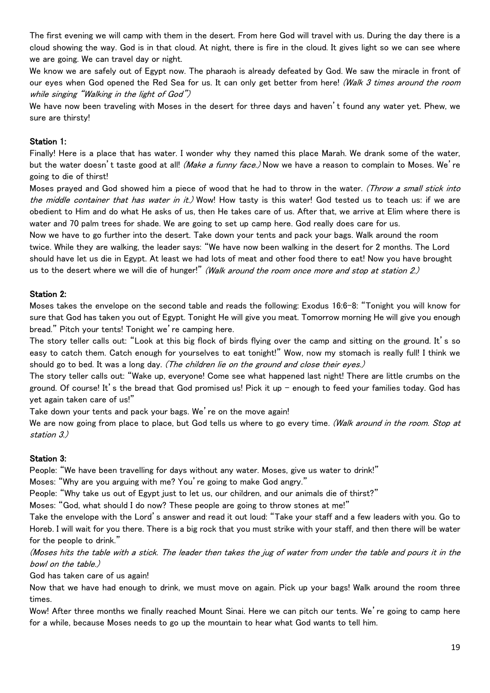The first evening we will camp with them in the desert. From here God will travel with us. During the day there is a cloud showing the way. God is in that cloud. At night, there is fire in the cloud. It gives light so we can see where we are going. We can travel day or night.

We know we are safely out of Egypt now. The pharaoh is already defeated by God. We saw the miracle in front of our eyes when God opened the Red Sea for us. It can only get better from here! (Walk 3 times around the room while singing "Walking in the light of God")

We have now been traveling with Moses in the desert for three days and haven't found any water yet. Phew, we sure are thirsty!

#### Station 1:

Finally! Here is a place that has water. I wonder why they named this place Marah. We drank some of the water, but the water doesn't taste good at all! (Make a funny face.) Now we have a reason to complain to Moses. We're going to die of thirst!

Moses prayed and God showed him a piece of wood that he had to throw in the water. (Throw a small stick into the middle container that has water in it.) Wow! How tasty is this water! God tested us to teach us: if we are obedient to Him and do what He asks of us, then He takes care of us. After that, we arrive at Elim where there is water and 70 palm trees for shade. We are going to set up camp here. God really does care for us.

Now we have to go further into the desert. Take down your tents and pack your bags. Walk around the room twice. While they are walking, the leader says: "We have now been walking in the desert for 2 months. The Lord should have let us die in Egypt. At least we had lots of meat and other food there to eat! Now you have brought us to the desert where we will die of hunger!" (Walk around the room once more and stop at station 2.)

#### Station 2:

Moses takes the envelope on the second table and reads the following: Exodus 16:6-8: "Tonight you will know for sure that God has taken you out of Egypt. Tonight He will give you meat. Tomorrow morning He will give you enough bread." Pitch your tents! Tonight we're camping here.

The story teller calls out: "Look at this big flock of birds flying over the camp and sitting on the ground. It's so easy to catch them. Catch enough for yourselves to eat tonight!" Wow, now my stomach is really full! I think we should go to bed. It was a long day. (The children lie on the ground and close their eyes.)

The story teller calls out: "Wake up, everyone! Come see what happened last night! There are little crumbs on the ground. Of course! It's the bread that God promised us! Pick it up – enough to feed your families today. God has yet again taken care of us!"

Take down your tents and pack your bags. We're on the move again!

We are now going from place to place, but God tells us where to go every time. (Walk around in the room. Stop at station 3.)

#### Station 3:

People: "We have been travelling for days without any water. Moses, give us water to drink!"

Moses: "Why are you arguing with me? You're going to make God angry."

People: "Why take us out of Egypt just to let us, our children, and our animals die of thirst?"

Moses: "God, what should I do now? These people are going to throw stones at me!"

Take the envelope with the Lord's answer and read it out loud: "Take your staff and a few leaders with you. Go to Horeb. I will wait for you there. There is a big rock that you must strike with your staff, and then there will be water for the people to drink."

(Moses hits the table with a stick. The leader then takes the jug of water from under the table and pours it in the bowl on the table.)

God has taken care of us again!

Now that we have had enough to drink, we must move on again. Pick up your bags! Walk around the room three times.

Wow! After three months we finally reached Mount Sinai. Here we can pitch our tents. We're going to camp here for a while, because Moses needs to go up the mountain to hear what God wants to tell him.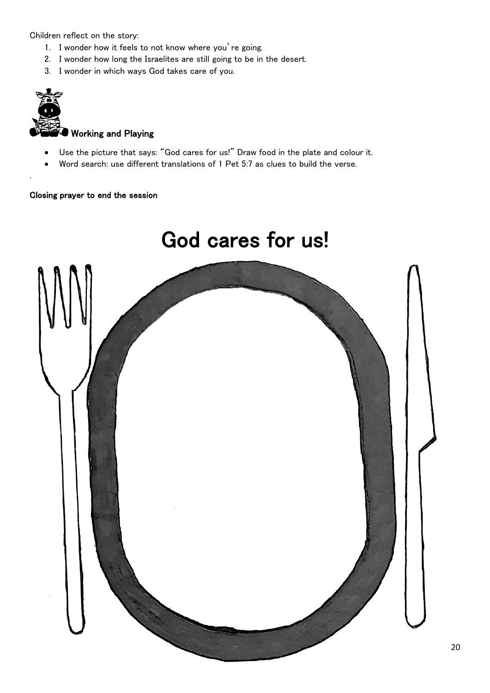Children reflect on the story:

- 1. I wonder how it feels to not know where you're going.
- 2. I wonder how long the Israelites are still going to be in the desert.
- 3. I wonder in which ways God takes care of you.



.

# Working and Playing

- Use the picture that says: "God cares for us!" Draw food in the plate and colour it.
- Word search: use different translations of 1 Pet 5:7 as clues to build the verse.

#### Closing prayer to end the session